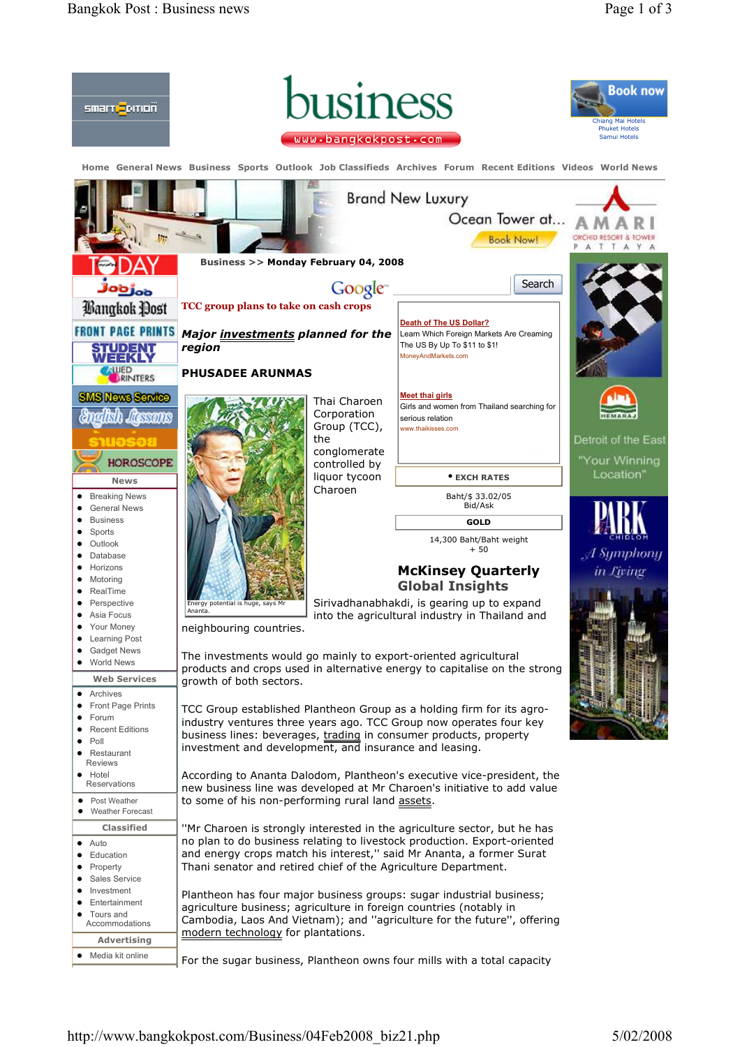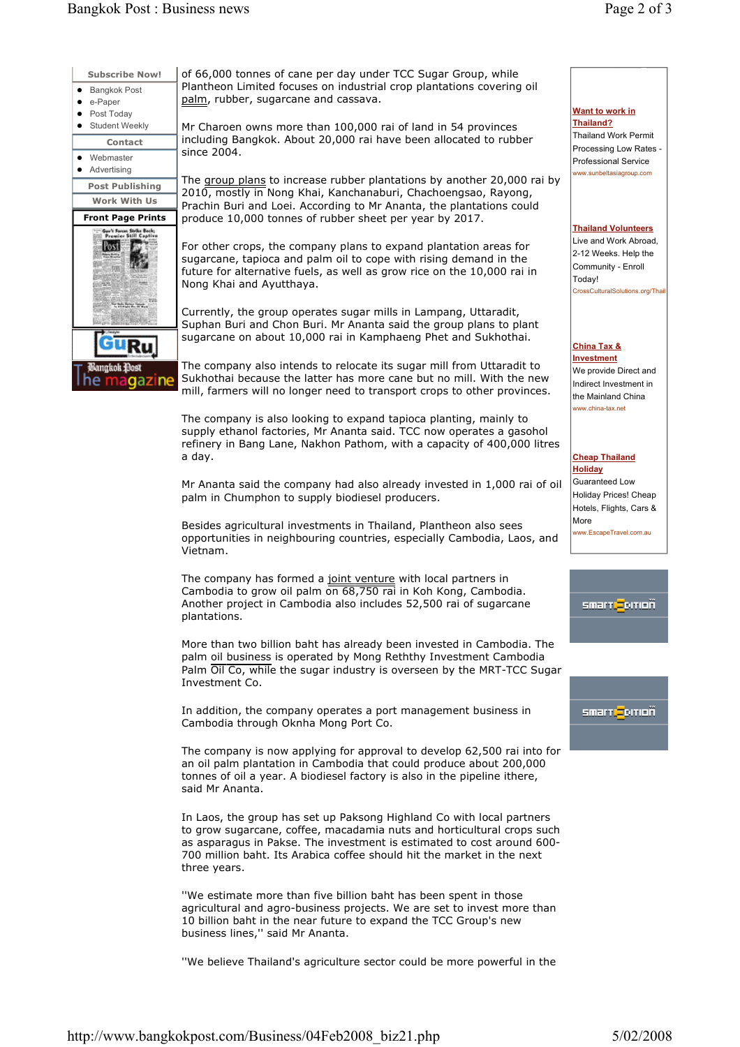| <b>Subscribe Now!</b>                                     | of 66,000 tonnes of cane per day under TCC Sugar Group, while<br>Plantheon Limited focuses on industrial crop plantations covering oil<br>palm, rubber, sugarcane and cassava.<br>Mr Charoen owns more than 100,000 rai of land in 54 provinces |
|-----------------------------------------------------------|-------------------------------------------------------------------------------------------------------------------------------------------------------------------------------------------------------------------------------------------------|
| • Bangkok Post<br>e-Paper<br>٠<br>Post Today              |                                                                                                                                                                                                                                                 |
| <b>Student Weekly</b>                                     |                                                                                                                                                                                                                                                 |
| <b>Contact</b>                                            | including Bangkok. About 20,000 rai have been allocated to rubber                                                                                                                                                                               |
| Webmaster<br>$\bullet$<br>• Advertising                   | since 2004.                                                                                                                                                                                                                                     |
| <b>Post Publishing</b>                                    | The group plans to increase rubber plantations by another 20,000 rai by                                                                                                                                                                         |
| <b>Work With Us</b>                                       | 2010, mostly in Nong Khai, Kanchanaburi, Chachoengsao, Rayong,<br>Prachin Buri and Loei. According to Mr Ananta, the plantations could                                                                                                          |
| <b>Front Page Prints</b>                                  | produce 10,000 tonnes of rubber sheet per year by 2017.                                                                                                                                                                                         |
| Geo'l Fances Strike Beck;<br><b>Premier Still Captive</b> | For other crops, the company plans to expand plantation areas for<br>sugarcane, tapioca and palm oil to cope with rising demand in the<br>future for alternative fuels, as well as grow rice on the 10,000 rai in<br>Nong Khai and Ayutthaya.   |
|                                                           | Currently, the group operates sugar mills in Lampang, Uttaradit,<br>Suphan Buri and Chon Buri. Mr Ananta said the group plans to plant<br>sugarcane on about 10,000 rai in Kamphaeng Phet and Sukhothai.                                        |
| Bangkok <del>D</del> ost<br>he madazine                   | The company also intends to relocate its sugar mill from Uttaradit to<br>Sukhothai because the latter has more cane but no mill. With the new<br>mill, farmers will no longer need to transport crops to other provinces.                       |
|                                                           | The company is also looking to expand tapioca planting, mainly to<br>supply ethanol factories, Mr Ananta said. TCC now operates a gasohol<br>refinery in Bang Lane, Nakhon Pathom, with a capacity of 400,000 litres                            |

a day.

Mr Ananta said the company had also already invested in 1,000 rai of oil palm in Chumphon to supply biodiesel producers.

Besides agricultural investments in Thailand, Plantheon also sees opportunities in neighbouring countries, especially Cambodia, Laos, and Vietnam.

The company has formed a joint venture with local partners in Cambodia to grow oil palm on 68,750 rai in Koh Kong, Cambodia. Another project in Cambodia also includes 52,500 rai of sugarcane plantations. joint venture

More than two billion baht has already been invested in Cambodia. The palm oil business is operated by Mong Reththy Investment Cambodia Palm Oil Co, while the sugar industry is overseen by the MRT-TCC Sugar Investment Co.

In addition, the company operates a port management business in Cambodia through Oknha Mong Port Co.

The company is now applying for approval to develop 62,500 rai into for an oil palm plantation in Cambodia that could produce about 200,000 tonnes of oil a year. A biodiesel factory is also in the pipeline ithere, said Mr Ananta.

In Laos, the group has set up Paksong Highland Co with local partners to grow sugarcane, coffee, macadamia nuts and horticultural crops such as asparagus in Pakse. The investment is estimated to cost around 600- 700 million baht. Its Arabica coffee should hit the market in the next three years.

''We estimate more than five billion baht has been spent in those agricultural and agro-business projects. We are set to invest more than 10 billion baht in the near future to expand the TCC Group's new business lines,'' said Mr Ananta.

''We believe Thailand's agriculture sector could be more powerful in the

#### Want to work in Thailand?

Thailand Work Permit Processing Low Rates - Professional Service www.sunbeltasiagroup.com

## Thailand Volunteers

Live and Work Abroad, 2-12 Weeks. Help the Community - Enroll Today! CrossCulturalSolutions.org/Thai

### China Tax &

**Investment** We provide Direct and Indirect Investment in the Mainland China www.china-tax.net

# Cheap Thailand Holiday

Guaranteed Low Holiday Prices! Cheap Hotels, Flights, Cars & More www.EscapeTravel.com.au

smart <mark>-</mark>orioñ

# smart <mark>-</mark>bitioñ

http://www.bangkokpost.com/Business/04Feb2008\_biz21.php 5/02/2008